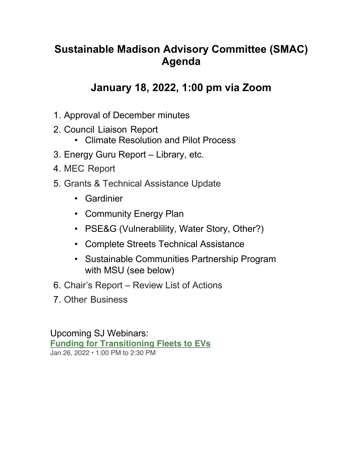## **Sustainable Madison Advisory Committee (SMAC) Agenda**

## **January 18, 2022, 1:00 pm via Zoom**

- 1. Approval of December minutes
- 2. Council Liaison Report
	- Climate Resolution and Pilot Process
- 3. Energy Guru Report Library, etc.
- 4. MEC Report
- 5. Grants & Technical Assistance Update
	- Gardinier
	- Community Energy Plan
	- PSE&G (Vulnerablility, Water Story, Other?)
	- Complete Streets Technical Assistance
	- Sustainable Communities Partnership Program with MSU (see below)
- 6. Chair's Report Review List of Actions
- 7. Other Business

Upcoming SJ Webinars: **Funding for Transitioning Fleets to EVs** Jan 26, 2022 • 1:00 PM to 2:30 PM